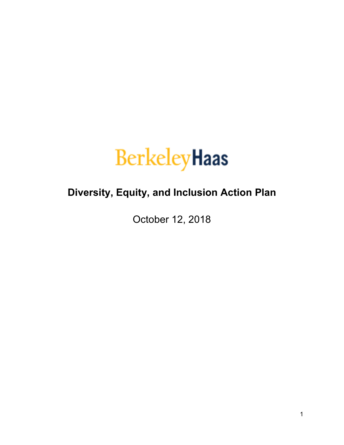

# **Diversity, Equity, and Inclusion Action Plan**

October 12, 2018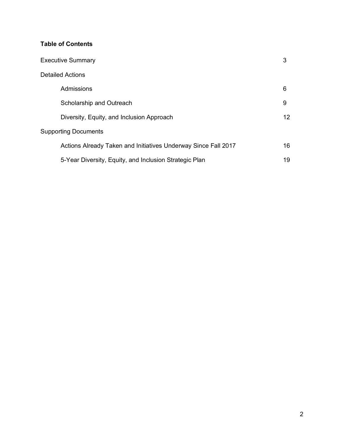# **Table of Contents**

| <b>Executive Summary</b>                                       | 3  |  |
|----------------------------------------------------------------|----|--|
| <b>Detailed Actions</b>                                        |    |  |
| Admissions                                                     | 6  |  |
| Scholarship and Outreach                                       | 9  |  |
| Diversity, Equity, and Inclusion Approach                      | 12 |  |
| <b>Supporting Documents</b>                                    |    |  |
| Actions Already Taken and Initiatives Underway Since Fall 2017 | 16 |  |
| 5-Year Diversity, Equity, and Inclusion Strategic Plan         | 19 |  |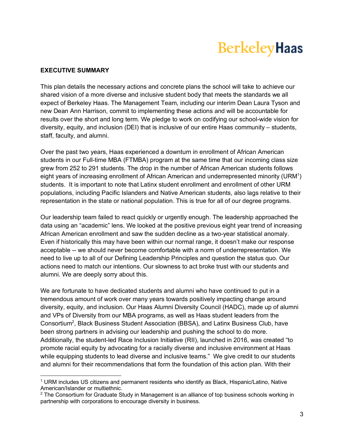# **BerkeleyHaas**

# **EXECUTIVE SUMMARY**

This plan details the necessary actions and concrete plans the school will take to achieve our shared vision of a more diverse and inclusive student body that meets the standards we all expect of Berkeley Haas. The Management Team, including our interim Dean Laura Tyson and new Dean Ann Harrison, commit to implementing these actions and will be accountable for results over the short and long term. We pledge to work on codifying our school-wide vision for diversity, equity, and inclusion (DEI) that is inclusive of our entire Haas community – students, staff, faculty, and alumni.

Over the past two years, Haas experienced a downturn in enrollment of African American students in our Full-time MBA (FTMBA) program at the same time that our incoming class size grew from 252 to 291 students. The drop in the number of African American students follows eight years of increasing enrollment of African American and underrepresented minority (URM<sup>1</sup>) students. It is important to note that Latinx student enrollment and enrollment of other URM populations, including Pacific Islanders and Native American students, also lags relative to their representation in the state or national population. This is true for all of our degree programs.

Our leadership team failed to react quickly or urgently enough. The leadership approached the data using an "academic" lens. We looked at the positive previous eight year trend of increasing African American enrollment and saw the sudden decline as a two-year statistical anomaly. Even if historically this may have been within our normal range, it doesn't make our response acceptable -- we should never become comfortable with a norm of underrepresentation. We need to live up to all of our Defining Leadership Principles and question the status quo. Our actions need to match our intentions. Our slowness to act broke trust with our students and alumni. We are deeply sorry about this.

We are fortunate to have dedicated students and alumni who have continued to put in a tremendous amount of work over many years towards positively impacting change around diversity, equity, and inclusion. Our Haas Alumni Diversity Council (HADC), made up of alumni and VPs of Diversity from our MBA programs, as well as Haas student leaders from the Consortium<sup>2</sup>, Black Business Student Association (BBSA), and Latinx Business Club, have been strong partners in advising our leadership and pushing the school to do more. Additionally, the student-led Race Inclusion Initiative (RII), launched in 2016, was created "to promote racial equity by advocating for a racially diverse and inclusive environment at Haas while equipping students to lead diverse and inclusive teams." We give credit to our students and alumni for their recommendations that form the foundation of this action plan. With their

 <sup>1</sup> URM includes US citizens and permanent residents who identify as Black, Hispanic/Latino, Native American/Islander or multiethnic.

 $2$  The Consortium for Graduate Study in Management is an alliance of top business schools working in partnership with corporations to encourage diversity in business.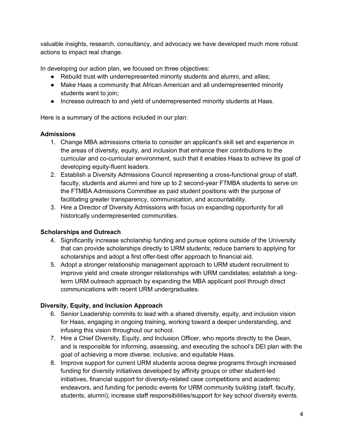valuable insights, research, consultancy, and advocacy we have developed much more robust actions to impact real change.

In developing our action plan, we focused on three objectives:

- Rebuild trust with underrepresented minority students and alumni, and allies;
- Make Haas a community that African American and all underrepresented minority students want to join;
- Increase outreach to and yield of underrepresented minority students at Haas.

Here is a summary of the actions included in our plan:

# **Admissions**

- 1. Change MBA admissions criteria to consider an applicant's skill set and experience in the areas of diversity, equity, and inclusion that enhance their contributions to the curricular and co-curricular environment, such that it enables Haas to achieve its goal of developing equity-fluent leaders.
- 2. Establish a Diversity Admissions Council representing a cross-functional group of staff, faculty, students and alumni and hire up to 2 second-year FTMBA students to serve on the FTMBA Admissions Committee as paid student positions with the purpose of facilitating greater transparency, communication, and accountability.
- 3. Hire a Director of Diversity Admissions with focus on expanding opportunity for all historically underrepresented communities.

# **Scholarships and Outreach**

- 4. Significantly increase scholarship funding and pursue options outside of the University that can provide scholarships directly to URM students; reduce barriers to applying for scholarships and adopt a first offer-best offer approach to financial aid.
- 5. Adopt a stronger relationship management approach to URM student recruitment to improve yield and create stronger relationships with URM candidates; establish a longterm URM outreach approach by expanding the MBA applicant pool through direct communications with recent URM undergraduates.

# **Diversity, Equity, and Inclusion Approach**

- 6. Senior Leadership commits to lead with a shared diversity, equity, and inclusion vision for Haas, engaging in ongoing training, working toward a deeper understanding, and infusing this vision throughout our school.
- 7. Hire a Chief Diversity, Equity, and Inclusion Officer, who reports directly to the Dean, and is responsible for informing, assessing, and executing the school's DEI plan with the goal of achieving a more diverse, inclusive, and equitable Haas.
- 8. Improve support for current URM students across degree programs through increased funding for diversity initiatives developed by affinity groups or other student-led initiatives, financial support for diversity-related case competitions and academic endeavors, and funding for periodic events for URM community building (staff, faculty, students, alumni); increase staff responsibilities/support for key school diversity events.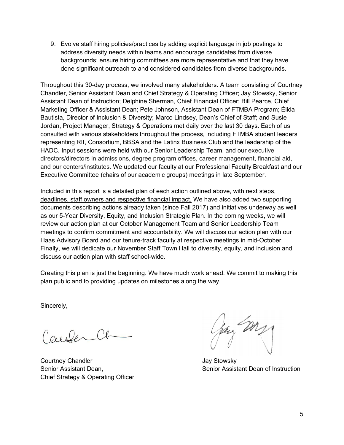9. Evolve staff hiring policies/practices by adding explicit language in job postings to address diversity needs within teams and encourage candidates from diverse backgrounds; ensure hiring committees are more representative and that they have done significant outreach to and considered candidates from diverse backgrounds.

Throughout this 30-day process, we involved many stakeholders. A team consisting of Courtney Chandler, Senior Assistant Dean and Chief Strategy & Operating Officer; Jay Stowsky, Senior Assistant Dean of Instruction; Delphine Sherman, Chief Financial Officer; Bill Pearce, Chief Marketing Officer & Assistant Dean; Pete Johnson, Assistant Dean of FTMBA Program; Élida Bautista, Director of Inclusion & Diversity; Marco Lindsey, Dean's Chief of Staff; and Susie Jordan, Project Manager, Strategy & Operations met daily over the last 30 days. Each of us consulted with various stakeholders throughout the process, including FTMBA student leaders representing RII, Consortium, BBSA and the Latinx Business Club and the leadership of the HADC. Input sessions were held with our Senior Leadership Team, and our executive directors/directors in admissions, degree program offices, career management, financial aid, and our centers/institutes. We updated our faculty at our Professional Faculty Breakfast and our Executive Committee (chairs of our academic groups) meetings in late September.

Included in this report is a detailed plan of each action outlined above, with next steps, deadlines, staff owners and respective financial impact. We have also added two supporting documents describing actions already taken (since Fall 2017) and initiatives underway as well as our 5-Year Diversity, Equity, and Inclusion Strategic Plan. In the coming weeks, we will review our action plan at our October Management Team and Senior Leadership Team meetings to confirm commitment and accountability. We will discuss our action plan with our Haas Advisory Board and our tenure-track faculty at respective meetings in mid-October. Finally, we will dedicate our November Staff Town Hall to diversity, equity, and inclusion and discuss our action plan with staff school-wide.

Creating this plan is just the beginning. We have much work ahead. We commit to making this plan public and to providing updates on milestones along the way.

Sincerely,

CeeserCl

Courtney Chandler **Courtney Chandler** Jay Stowsky Chief Strategy & Operating Officer

kay my

Senior Assistant Dean, Senior Assistant Dean of Instruction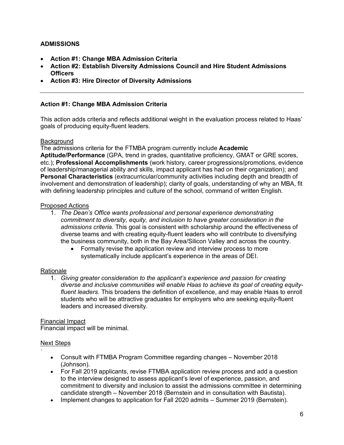# **ADMISSIONS**

- **Action #1: Change MBA Admission Criteria**
- **Action #2: Establish Diversity Admissions Council and Hire Student Admissions Officers**
- **Action #3: Hire Director of Diversity Admissions**

# **Action #1: Change MBA Admission Criteria**

This action adds criteria and reflects additional weight in the evaluation process related to Haas' goals of producing equity-fluent leaders.

#### Background

The admissions criteria for the FTMBA program currently include **Academic Aptitude/Performance** (GPA, trend in grades, quantitative proficiency, GMAT or GRE scores, etc.); **Professional Accomplishments** (work history, career progressions/promotions, evidence of leadership/managerial ability and skills, impact applicant has had on their organization); and **Personal Characteristics** (extracurricular/community activities including depth and breadth of involvement and demonstration of leadership); clarity of goals, understanding of why an MBA, fit with defining leadership principles and culture of the school, command of written English.

#### Proposed Actions

- 1. *The Dean's Office wants professional and personal experience demonstrating commitment to diversity, equity, and inclusion to have greater consideration in the admissions criteria.* This goal is consistent with scholarship around the effectiveness of diverse teams and with creating equity-fluent leaders who will contribute to diversifying the business community, both in the Bay Area/Silicon Valley and across the country.
	- Formally revise the application review and interview process to more systematically include applicant's experience in the areas of DEI.

# Rationale

1. *Giving greater consideration to the applicant's experience and passion for creating diverse and inclusive communities will enable Haas to achieve its goal of creating equityfluent leaders.* This broadens the definition of excellence, and may enable Haas to enroll students who will be attractive graduates for employers who are seeking equity-fluent leaders and increased diversity.

#### Financial Impact

Financial impact will be minimal.

# Next Steps

·

- Consult with FTMBA Program Committee regarding changes November 2018 (Johnson).
- For Fall 2019 applicants, revise FTMBA application review process and add a question to the interview designed to assess applicant's level of experience, passion, and commitment to diversity and inclusion to assist the admissions committee in determining candidate strength – November 2018 (Bernstein and in consultation with Bautista).
- Implement changes to application for Fall 2020 admits Summer 2019 (Bernstein).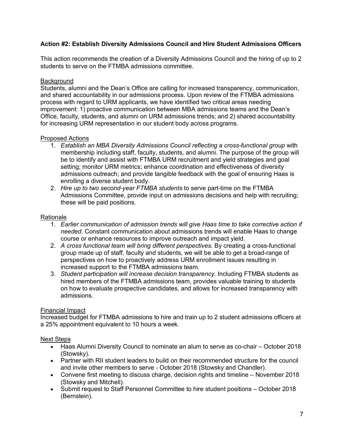# **Action #2: Establish Diversity Admissions Council and Hire Student Admissions Officers**

This action recommends the creation of a Diversity Admissions Council and the hiring of up to 2 students to serve on the FTMBA admissions committee.

# **Background**

Students, alumni and the Dean's Office are calling for increased transparency, communication, and shared accountability in our admissions process. Upon review of the FTMBA admissions process with regard to URM applicants, we have identified two critical areas needing improvement: 1) proactive communication between MBA admissions teams and the Dean's Office, faculty, students, and alumni on URM admissions trends; and 2) shared accountability for increasing URM representation in our student body across programs.

# Proposed Actions

- 1. *Establish an MBA Diversity Admissions Council reflecting a cross-functional group* with membership including staff, faculty, students, and alumni. The purpose of the group will be to identify and assist with FTMBA URM recruitment and yield strategies and goal setting; monitor URM metrics; enhance coordination and effectiveness of diversity admissions outreach; and provide tangible feedback with the goal of ensuring Haas is enrolling a diverse student body.
- 2. *Hire up to two second-year FTMBA students* to serve part-time on the FTMBA Admissions Committee, provide input on admissions decisions and help with recruiting; these will be paid positions.

# Rationale

- 1. *Earlier communication of admission trends will give Haas time to take corrective action if needed.* Constant communication about admissions trends will enable Haas to change course or enhance resources to improve outreach and impact yield.
- 2. *A cross functional team will bring different perspectives.* By creating a cross-functional group made up of staff, faculty and students, we will be able to get a broad-range of perspectives on how to proactively address URM enrollment issues resulting in increased support to the FTMBA admissions team.
- 3. *Student participation will increase decision transparency.* Including FTMBA students as hired members of the FTMBA admissions team, provides valuable training to students on how to evaluate prospective candidates, and allows for increased transparency with admissions.

# Financial Impact

Increased budget for FTMBA admissions to hire and train up to 2 student admissions officers at a 25% appointment equivalent to 10 hours a week.

- Haas Alumni Diversity Council to nominate an alum to serve as co-chair October 2018 (Stowsky).
- Partner with RII student leaders to build on their recommended structure for the council and invite other members to serve - October 2018 (Stowsky and Chandler).
- Convene first meeting to discuss charge, decision rights and timeline November 2018 (Stowsky and Mitchell).
- Submit request to Staff Personnel Committee to hire student positions October 2018 (Bernstein).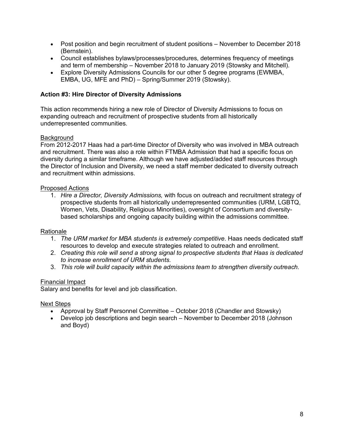- Post position and begin recruitment of student positions November to December 2018 (Bernstein).
- Council establishes bylaws/processes/procedures, determines frequency of meetings and term of membership – November 2018 to January 2019 (Stowsky and Mitchell).
- Explore Diversity Admissions Councils for our other 5 degree programs (EWMBA, EMBA, UG, MFE and PhD) – Spring/Summer 2019 (Stowsky).

# **Action #3: Hire Director of Diversity Admissions**

This action recommends hiring a new role of Director of Diversity Admissions to focus on expanding outreach and recruitment of prospective students from all historically underrepresented communities.

# **Background**

From 2012-2017 Haas had a part-time Director of Diversity who was involved in MBA outreach and recruitment. There was also a role within FTMBA Admission that had a specific focus on diversity during a similar timeframe. Although we have adjusted/added staff resources through the Director of Inclusion and Diversity, we need a staff member dedicated to diversity outreach and recruitment within admissions.

# Proposed Actions

1. *Hire a Director, Diversity Admissions,* with focus on outreach and recruitment strategy of prospective students from all historically underrepresented communities (URM, LGBTQ, Women, Vets, Disability, Religious Minorities), oversight of Consortium and diversitybased scholarships and ongoing capacity building within the admissions committee.

# Rationale

- 1. *The URM market for MBA students is extremely competitive.* Haas needs dedicated staff resources to develop and execute strategies related to outreach and enrollment.
- 2. *Creating this role will send a strong signal to prospective students that Haas is dedicated to increase enrollment of URM students.*
- 3. *This role will build capacity within the admissions team to strengthen diversity outreach.*

# Financial Impact

Salary and benefits for level and job classification.

- Approval by Staff Personnel Committee October 2018 (Chandler and Stowsky)
- Develop job descriptions and begin search November to December 2018 (Johnson and Boyd)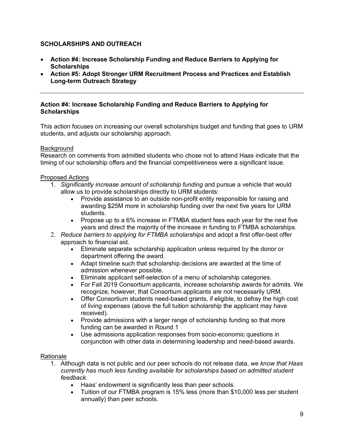# **SCHOLARSHIPS AND OUTREACH**

- **Action #4: Increase Scholarship Funding and Reduce Barriers to Applying for Scholarships**
- **Action #5: Adopt Stronger URM Recruitment Process and Practices and Establish Long-term Outreach Strategy**

#### **Action #4: Increase Scholarship Funding and Reduce Barriers to Applying for Scholarships**

This action focuses on increasing our overall scholarships budget and funding that goes to URM students, and adjusts our scholarship approach.

# **Background**

Research on comments from admitted students who chose not to attend Haas indicate that the timing of our scholarship offers and the financial competitiveness were a significant issue.

# Proposed Actions

- 1. *Significantly increase amount of scholarship funding* and pursue a vehicle that would allow us to provide scholarships directly to URM students:
	- Provide assistance to an outside non-profit entity responsible for raising and awarding \$25M more in scholarship funding over the next five years for URM students.
	- Propose up to a 6% increase in FTMBA student fees each year for the next five years and direct the majority of the increase in funding to FTMBA scholarships.
- 2. *Reduce barriers to applying for FTMBA scholarships* and adopt a first offer-best offer approach to financial aid.
	- Eliminate separate scholarship application unless required by the donor or department offering the award.
	- Adapt timeline such that scholarship decisions are awarded at the time of admission whenever possible.
	- Eliminate applicant self-selection of a menu of scholarship categories.
	- For Fall 2019 Consortium applicants, increase scholarship awards for admits. We recognize, however, that Consortium applicants are not necessarily URM.
	- Offer Consortium students need-based grants, if eligible, to defray the high cost of living expenses (above the full tuition scholarship the applicant may have received).
	- Provide admissions with a larger range of scholarship funding so that more funding can be awarded in Round 1
	- Use admissions application responses from socio-economic questions in conjunction with other data in determining leadership and need-based awards.

# Rationale

- 1. Although data is not public and our peer schools do not release data, *we know that Haas currently has much less funding available for scholarships based on admitted student feedback*.
	- Haas' endowment is significantly less than peer schools.
	- Tuition of our FTMBA program is 15% less (more than \$10,000 less per student annually) than peer schools.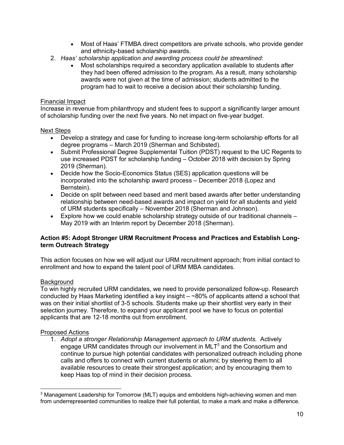- Most of Haas' FTMBA direct competitors are private schools, who provide gender and ethnicity-based scholarship awards.
- 2. *Haas' scholarship application and awarding process could be streamlined*:
	- Most scholarships required a secondary application available to students after they had been offered admission to the program. As a result, many scholarship awards were not given at the time of admission; students admitted to the program had to wait to receive a decision about their scholarship funding.

# Financial Impact

Increase in revenue from philanthropy and student fees to support a significantly larger amount of scholarship funding over the next five years. No net impact on five-year budget.

# Next Steps

- Develop a strategy and case for funding to increase long-term scholarship efforts for all degree programs – March 2019 (Sherman and Schibsted).
- Submit Professional Degree Supplemental Tuition (PDST) request to the UC Regents to use increased PDST for scholarship funding – October 2018 with decision by Spring 2019 (Sherman).
- Decide how the Socio-Economics Status (SES) application questions will be incorporated into the scholarship award process – December 2018 (Lopez and Bernstein).
- Decide on split between need based and merit based awards after better understanding relationship between need-based awards and impact on yield for all students and yield of URM students specifically – November 2018 (Sherman and Johnson).
- $\bullet$  Explore how we could enable scholarship strategy outside of our traditional channels  $-$ May 2019 with an Interim report by December 2018 (Sherman).

# **Action #5: Adopt Stronger URM Recruitment Process and Practices and Establish Longterm Outreach Strategy**

This action focuses on how we will adjust our URM recruitment approach; from initial contact to enrollment and how to expand the talent pool of URM MBA candidates.

# Background

To win highly recruited URM candidates, we need to provide personalized follow-up. Research conducted by Haas Marketing identified a key insight – ~80% of applicants attend a school that was on their initial shortlist of 3-5 schools. Students make up their shortlist very early in their selection journey. Therefore, to expand your applicant pool we have to focus on potential applicants that are 12-18 months out from enrollment.

# Proposed Actions

1. *Adopt a stronger Relationship Management approach to URM students.* Actively engage URM candidates through our involvement in  $MLT<sup>3</sup>$  and the Consortium and continue to pursue high potential candidates with personalized outreach including phone calls and offers to connect with current students or alumni; by steering them to all available resources to create their strongest application; and by encouraging them to keep Haas top of mind in their decision process.

<sup>&</sup>lt;sup>3</sup> Management Leadership for Tomorrow (MLT) equips and emboldens high-achieving women and men from underrepresented communities to realize their full potential, to make a mark and make a difference.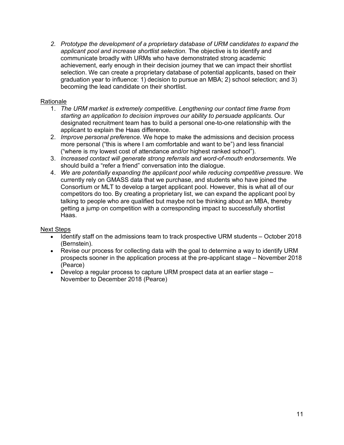*2. Prototype the development of a proprietary database of URM candidates to expand the applicant pool and increase shortlist selection.* The objective is to identify and communicate broadly with URMs who have demonstrated strong academic achievement, early enough in their decision journey that we can impact their shortlist selection. We can create a proprietary database of potential applicants, based on their graduation year to influence: 1) decision to pursue an MBA; 2) school selection; and 3) becoming the lead candidate on their shortlist.

# Rationale

- 1. *The URM market is extremely competitive. Lengthening our contact time frame from starting an application to decision improves our ability to persuade applicants.* Our designated recruitment team has to build a personal one-to-one relationship with the applicant to explain the Haas difference.
- 2. *Improve personal preference.* We hope to make the admissions and decision process more personal ("this is where I am comfortable and want to be") and less financial ("where is my lowest cost of attendance and/or highest ranked school").
- 3. *Increased contact will generate strong referrals and word-of-mouth endorsements.* We should build a "refer a friend" conversation into the dialogue.
- 4. *We are potentially expanding the applicant pool while reducing competitive pressure.* We currently rely on GMASS data that we purchase, and students who have joined the Consortium or MLT to develop a target applicant pool. However, this is what all of our competitors do too. By creating a proprietary list, we can expand the applicant pool by talking to people who are qualified but maybe not be thinking about an MBA, thereby getting a jump on competition with a corresponding impact to successfully shortlist Haas.

- Identify staff on the admissions team to track prospective URM students October 2018 (Bernstein).
- Revise our process for collecting data with the goal to determine a way to identify URM prospects sooner in the application process at the pre-applicant stage – November 2018 (Pearce)
- Develop a regular process to capture URM prospect data at an earlier stage November to December 2018 (Pearce)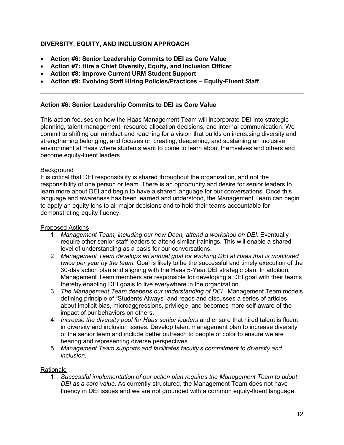# **DIVERSITY, EQUITY, AND INCLUSION APPROACH**

- **Action #6: Senior Leadership Commits to DEI as Core Value**
- **Action #7: Hire a Chief Diversity, Equity, and Inclusion Officer**
- **Action #8: Improve Current URM Student Support**
- **Action #9: Evolving Staff Hiring Policies/Practices – Equity-Fluent Staff**

# **Action #6: Senior Leadership Commits to DEI as Core Value**

This action focuses on how the Haas Management Team will incorporate DEI into strategic planning, talent management, resource allocation decisions, and internal communication. We commit to shifting our mindset and reaching for a vision that builds on increasing diversity and strengthening belonging, and focuses on creating, deepening, and sustaining an inclusive environment at Haas where students want to come to learn about themselves and others and become equity-fluent leaders.

# **Background**

It is critical that DEI responsibility is shared throughout the organization, and not the responsibility of one person or team. There is an opportunity and desire for senior leaders to learn more about DEI and begin to have a shared language for our conversations. Once this language and awareness has been learned and understood, the Management Team can begin to apply an equity lens to all major decisions and to hold their teams accountable for demonstrating equity fluency.

# Proposed Actions

- 1. *Management Team, including our new Dean, attend a workshop on DEI.* Eventually require other senior staff leaders to attend similar trainings. This will enable a shared level of understanding as a basis for our conversations.
- 2. *Management Team develops an annual goal for evolving DEI at Haas that is monitored twice per year by the team.* Goal is likely to be the successful and timely execution of the 30-day action plan and aligning with the Haas 5-Year DEI strategic plan. In addition, Management Team members are responsible for developing a DEI goal with their teams thereby enabling DEI goals to live everywhere in the organization.
- 3. *The Management Team deepens our understanding of DEI.* Management Team models defining principle of "Students Always" and reads and discusses a series of articles about implicit bias, microaggressions, privilege, and becomes more self-aware of the impact of our behaviors on others.
- 4. *Increase the diversity pool for Haas senior leaders* and ensure that hired talent is fluent in diversity and inclusion issues. Develop talent management plan to increase diversity of the senior team and include better outreach to people of color to ensure we are hearing and representing diverse perspectives.
- 5. *Management Team supports and facilitates faculty's commitment to diversity and inclusion.*

# Rationale

1. *Successful implementation of our action plan requires the Management Team to adopt DEI as a core value.* As currently structured, the Management Team does not have fluency in DEI issues and we are not grounded with a common equity-fluent language.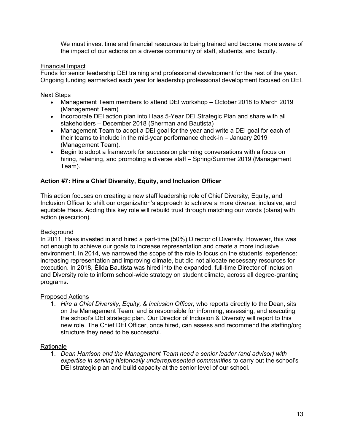We must invest time and financial resources to being trained and become more aware of the impact of our actions on a diverse community of staff, students, and faculty.

#### Financial Impact

Funds for senior leadership DEI training and professional development for the rest of the year. Ongoing funding earmarked each year for leadership professional development focused on DEI.

#### Next Steps

- Management Team members to attend DEI workshop October 2018 to March 2019 (Management Team)
- Incorporate DEI action plan into Haas 5-Year DEI Strategic Plan and share with all stakeholders – December 2018 (Sherman and Bautista)
- Management Team to adopt a DEI goal for the year and write a DEI goal for each of their teams to include in the mid-year performance check-in – January 2019 (Management Team).
- Begin to adopt a framework for succession planning conversations with a focus on hiring, retaining, and promoting a diverse staff – Spring/Summer 2019 (Management Team).

# **Action #7: Hire a Chief Diversity, Equity, and Inclusion Officer**

This action focuses on creating a new staff leadership role of Chief Diversity, Equity, and Inclusion Officer to shift our organization's approach to achieve a more diverse, inclusive, and equitable Haas. Adding this key role will rebuild trust through matching our words (plans) with action (execution).

#### Background

In 2011, Haas invested in and hired a part-time (50%) Director of Diversity. However, this was not enough to achieve our goals to increase representation and create a more inclusive environment. In 2014, we narrowed the scope of the role to focus on the students' experience: increasing representation and improving climate, but did not allocate necessary resources for execution. In 2018, Élida Bautista was hired into the expanded, full-time Director of Inclusion and Diversity role to inform school-wide strategy on student climate, across all degree-granting programs.

#### Proposed Actions

1. *Hire a Chief Diversity, Equity, & Inclusion Officer,* who reports directly to the Dean, sits on the Management Team, and is responsible for informing, assessing, and executing the school's DEI strategic plan. Our Director of Inclusion & Diversity will report to this new role. The Chief DEI Officer, once hired, can assess and recommend the staffing/org structure they need to be successful.

#### Rationale

1. *Dean Harrison and the Management Team need a senior leader (and advisor) with expertise in serving historically underrepresented communities* to carry out the school's DEI strategic plan and build capacity at the senior level of our school.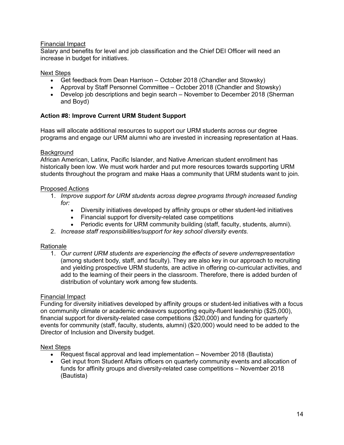# Financial Impact

Salary and benefits for level and job classification and the Chief DEI Officer will need an increase in budget for initiatives.

#### Next Steps

- Get feedback from Dean Harrison October 2018 (Chandler and Stowsky)
- Approval by Staff Personnel Committee October 2018 (Chandler and Stowsky)
- Develop job descriptions and begin search November to December 2018 (Sherman and Boyd)

# **Action #8: Improve Current URM Student Support**

Haas will allocate additional resources to support our URM students across our degree programs and engage our URM alumni who are invested in increasing representation at Haas.

#### **Background**

African American, Latinx, Pacific Islander, and Native American student enrollment has historically been low. We must work harder and put more resources towards supporting URM students throughout the program and make Haas a community that URM students want to join.

#### Proposed Actions

- 1. *Improve support for URM students across degree programs through increased funding for:*
	- Diversity initiatives developed by affinity groups or other student-led initiatives
	- Financial support for diversity-related case competitions
	- Periodic events for URM community building (staff, faculty, students, alumni).
- 2. *Increase staff responsibilities/support for key school diversity events.*

# Rationale

1. *Our current URM students are experiencing the effects of severe underrepresentation* (among student body, staff, and faculty). They are also key in our approach to recruiting and yielding prospective URM students, are active in offering co-curricular activities, and add to the learning of their peers in the classroom. Therefore, there is added burden of distribution of voluntary work among few students.

# Financial Impact

Funding for diversity initiatives developed by affinity groups or student-led initiatives with a focus on community climate or academic endeavors supporting equity-fluent leadership (\$25,000), financial support for diversity-related case competitions (\$20,000) and funding for quarterly events for community (staff, faculty, students, alumni) (\$20,000) would need to be added to the Director of Inclusion and Diversity budget.

- Request fiscal approval and lead implementation November 2018 (Bautista)
- Get input from Student Affairs officers on quarterly community events and allocation of funds for affinity groups and diversity-related case competitions – November 2018 (Bautista)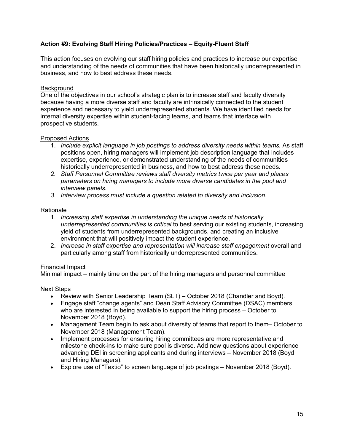# **Action #9: Evolving Staff Hiring Policies/Practices – Equity-Fluent Staff**

This action focuses on evolving our staff hiring policies and practices to increase our expertise and understanding of the needs of communities that have been historically underrepresented in business, and how to best address these needs.

#### Background

One of the objectives in our school's strategic plan is to increase staff and faculty diversity because having a more diverse staff and faculty are intrinsically connected to the student experience and necessary to yield underrepresented students. We have identified needs for internal diversity expertise within student-facing teams, and teams that interface with prospective students.

#### Proposed Actions

- 1. *Include explicit language in job postings to address diversity needs within teams.* As staff positions open, hiring managers will implement job description language that includes expertise, experience, or demonstrated understanding of the needs of communities historically underrepresented in business, and how to best address these needs.
- *2. Staff Personnel Committee reviews staff diversity metrics twice per year and places parameters on hiring managers to include more diverse candidates in the pool and interview panels.*
- *3. Interview process must include a question related to diversity and inclusion*.

#### Rationale

- 1. *Increasing staff expertise in understanding the unique needs of historically underrepresented communities is critical* to best serving our existing students, increasing yield of students from underrepresented backgrounds, and creating an inclusive environment that will positively impact the student experience.
- 2. *Increase in staff expertise and representation will increase staff engagement* overall and particularly among staff from historically underrepresented communities.

#### Financial Impact

Minimal impact – mainly time on the part of the hiring managers and personnel committee

- Review with Senior Leadership Team (SLT) October 2018 (Chandler and Boyd).
- Engage staff "change agents" and Dean Staff Advisory Committee (DSAC) members who are interested in being available to support the hiring process – October to November 2018 (Boyd).
- Management Team begin to ask about diversity of teams that report to them– October to November 2018 (Management Team).
- Implement processes for ensuring hiring committees are more representative and milestone check-ins to make sure pool is diverse. Add new questions about experience advancing DEI in screening applicants and during interviews – November 2018 (Boyd and Hiring Managers).
- Explore use of "Textio" to screen language of job postings November 2018 (Boyd).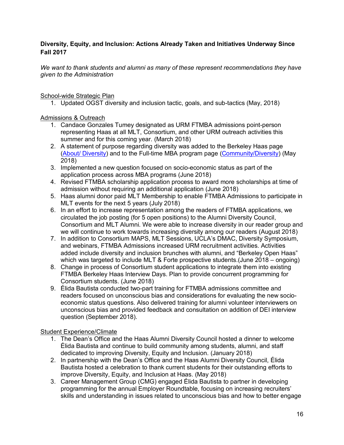# **Diversity, Equity, and Inclusion: Actions Already Taken and Initiatives Underway Since Fall 2017**

*We want to thank students and alumni as many of these represent recommendations they have given to the Administration* 

School-wide Strategic Plan

1. Updated OGST diversity and inclusion tactic, goals, and sub-tactics (May, 2018)

Admissions & Outreach

- 1. Candace Gonzales Tumey designated as URM FTMBA admissions point-person representing Haas at all MLT, Consortium, and other URM outreach activities this summer and for this coming year. (March 2018)
- 2. A statement of purpose regarding diversity was added to the Berkeley Haas page (About/ Diversity) and to the Full-time MBA program page (Community/Diversity) (May 2018)
- 3. Implemented a new question focused on socio-economic status as part of the application process across MBA programs (June 2018)
- 4. Revised FTMBA scholarship application process to award more scholarships at time of admission without requiring an additional application (June 2018)
- 5. Haas alumni donor paid MLT Membership to enable FTMBA Admissions to participate in MLT events for the next 5 years (July 2018)
- 6. In an effort to increase representation among the readers of FTMBA applications, we circulated the job posting (for 5 open positions) to the Alumni Diversity Council, Consortium and MLT Alumni. We were able to increase diversity in our reader group and we will continue to work towards increasing diversity among our readers (August 2018)
- 7. In addition to Consortium MAPS, MLT Sessions, UCLA's DMAC, Diversity Symposium, and webinars, FTMBA Admissions increased URM recruitment activities. Activities added include diversity and inclusion brunches with alumni, and "Berkeley Open Haas" which was targeted to include MLT & Forte prospective students.(June 2018 – ongoing)
- 8. Change in process of Consortium student applications to integrate them into existing FTMBA Berkeley Haas Interview Days. Plan to provide concurrent programming for Consortium students. (June 2018)
- 9. Élida Bautista conducted two-part training for FTMBA admissions committee and readers focused on unconscious bias and considerations for evaluating the new socioeconomic status questions. Also delivered training for alumni volunteer interviewers on unconscious bias and provided feedback and consultation on addition of DEI interview question (September 2018).

# Student Experience/Climate

- 1. The Dean's Office and the Haas Alumni Diversity Council hosted a dinner to welcome Élida Bautista and continue to build community among students, alumni, and staff dedicated to improving Diversity, Equity and Inclusion. (January 2018)
- 2. In partnership with the Dean's Office and the Haas Alumni Diversity Council, Élida Bautista hosted a celebration to thank current students for their outstanding efforts to improve Diversity, Equity, and Inclusion at Haas. (May 2018)
- 3. Career Management Group (CMG) engaged Élida Bautista to partner in developing programming for the annual Employer Roundtable, focusing on increasing recruiters' skills and understanding in issues related to unconscious bias and how to better engage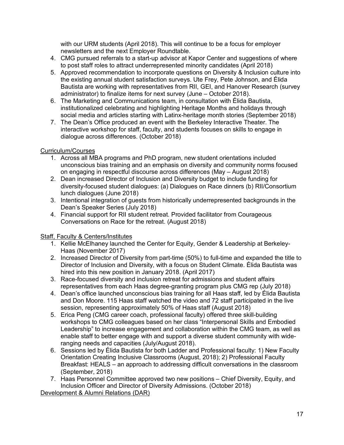with our URM students (April 2018). This will continue to be a focus for employer newsletters and the next Employer Roundtable.

- 4. CMG pursued referrals to a start-up advisor at Kapor Center and suggestions of where to post staff roles to attract underrepresented minority candidates (April 2018)
- 5. Approved recommendation to incorporate questions on Diversity & Inclusion culture into the existing annual student satisfaction surveys. Ute Frey, Pete Johnson, and Élida Bautista are working with representatives from RII, GEI, and Hanover Research (survey administrator) to finalize items for next survey (June – October 2018).
- 6. The Marketing and Communications team, in consultation with Élida Bautista, institutionalized celebrating and highlighting Heritage Months and holidays through social media and articles starting with Latinx-heritage month stories (September 2018)
- 7. The Dean's Office produced an event with the Berkeley Interactive Theater. The interactive workshop for staff, faculty, and students focuses on skills to engage in dialogue across differences. (October 2018)

# Curriculum/Courses

- 1. Across all MBA programs and PhD program, new student orientations included unconscious bias training and an emphasis on diversity and community norms focused on engaging in respectful discourse across differences (May – August 2018)
- 2. Dean increased Director of Inclusion and Diversity budget to include funding for diversity-focused student dialogues: (a) Dialogues on Race dinners (b) RII/Consortium lunch dialogues (June 2018)
- 3. Intentional integration of guests from historically underrepresented backgrounds in the Dean's Speaker Series (July 2018)
- 4. Financial support for RII student retreat. Provided facilitator from Courageous Conversations on Race for the retreat. (August 2018)

# Staff, Faculty & Centers/Institutes

- 1. Kellie McElhaney launched the Center for Equity, Gender & Leadership at Berkeley-Haas (November 2017)
- 2. Increased Director of Diversity from part-time (50%) to full-time and expanded the title to Director of Inclusion and Diversity, with a focus on Student Climate. Élida Bautista was hired into this new position in January 2018. (April 2017)
- 3. Race-focused diversity and inclusion retreat for admissions and student affairs representatives from each Haas degree-granting program plus CMG rep (July 2018)
- 4. Dean's office launched unconscious bias training for all Haas staff, led by Élida Bautista and Don Moore. 115 Haas staff watched the video and 72 staff participated in the live session, representing approximately 50% of Haas staff (August 2018)
- 5. Erica Peng (CMG career coach, professional faculty) offered three skill-building workshops to CMG colleagues based on her class "Interpersonal Skills and Embodied Leadership" to increase engagement and collaboration within the CMG team, as well as enable staff to better engage with and support a diverse student community with wideranging needs and capacities (July/August 2018).
- 6. Sessions led by Élida Bautista for both Ladder and Professional faculty: 1) New Faculty Orientation Creating Inclusive Classrooms (August, 2018); 2) Professional Faculty Breakfast: HEALS – an approach to addressing difficult conversations in the classroom (September, 2018)
- 7. Haas Personnel Committee approved two new positions Chief Diversity, Equity, and Inclusion Officer and Director of Diversity Admissions. (October 2018)

Development & Alumni Relations (DAR)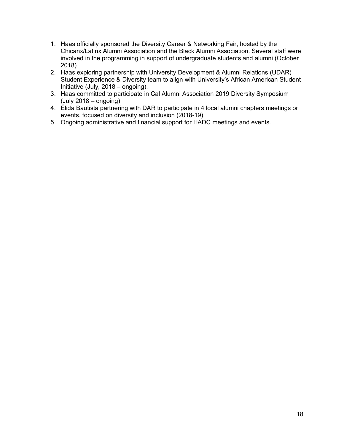- 1. Haas officially sponsored the Diversity Career & Networking Fair, hosted by the Chicanx/Latinx Alumni Association and the Black Alumni Association. Several staff were involved in the programming in support of undergraduate students and alumni (October 2018).
- 2. Haas exploring partnership with University Development & Alumni Relations (UDAR) Student Experience & Diversity team to align with University's African American Student Initiative (July, 2018 – ongoing).
- 3. Haas committed to participate in Cal Alumni Association 2019 Diversity Symposium (July 2018 – ongoing)
- 4. Élida Bautista partnering with DAR to participate in 4 local alumni chapters meetings or events, focused on diversity and inclusion (2018-19)
- 5. Ongoing administrative and financial support for HADC meetings and events.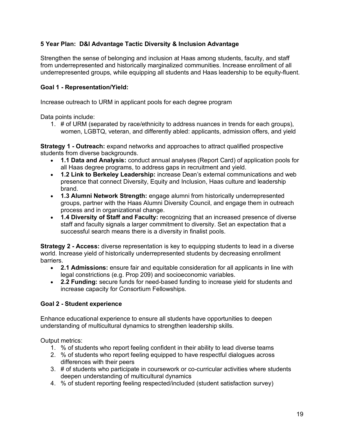# **5 Year Plan: D&I Advantage Tactic Diversity & Inclusion Advantage**

Strengthen the sense of belonging and inclusion at Haas among students, faculty, and staff from underrepresented and historically marginalized communities. Increase enrollment of all underrepresented groups, while equipping all students and Haas leadership to be equity-fluent.

# **Goal 1 - Representation/Yield:**

Increase outreach to URM in applicant pools for each degree program

Data points include:

1. # of URM (separated by race/ethnicity to address nuances in trends for each groups), women, LGBTQ, veteran, and differently abled: applicants, admission offers, and yield

**Strategy 1 - Outreach:** expand networks and approaches to attract qualified prospective students from diverse backgrounds.

- **1.1 Data and Analysis:** conduct annual analyses (Report Card) of application pools for all Haas degree programs, to address gaps in recruitment and yield.
- **1.2 Link to Berkeley Leadership:** increase Dean's external communications and web presence that connect Diversity, Equity and Inclusion, Haas culture and leadership brand.
- **1.3 Alumni Network Strength:** engage alumni from historically underrepresented groups, partner with the Haas Alumni Diversity Council, and engage them in outreach process and in organizational change.
- **1.4 Diversity of Staff and Faculty:** recognizing that an increased presence of diverse staff and faculty signals a larger commitment to diversity. Set an expectation that a successful search means there is a diversity in finalist pools.

**Strategy 2 - Access:** diverse representation is key to equipping students to lead in a diverse world. Increase yield of historically underrepresented students by decreasing enrollment barriers.

- **2.1 Admissions:** ensure fair and equitable consideration for all applicants in line with legal constrictions (e.g. Prop 209) and socioeconomic variables.
- **2.2 Funding:** secure funds for need-based funding to increase yield for students and increase capacity for Consortium Fellowships.

# **Goal 2 - Student experience**

Enhance educational experience to ensure all students have opportunities to deepen understanding of multicultural dynamics to strengthen leadership skills.

Output metrics:

- 1. % of students who report feeling confident in their ability to lead diverse teams
- 2. % of students who report feeling equipped to have respectful dialogues across differences with their peers
- 3. # of students who participate in coursework or co-curricular activities where students deepen understanding of multicultural dynamics
- 4. % of student reporting feeling respected/included (student satisfaction survey)